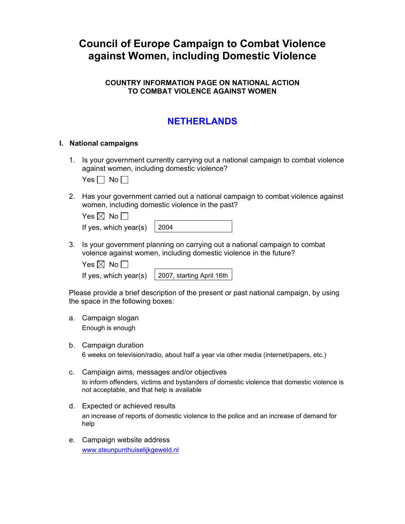# **Council of Europe Campaign to Combat Violence against Women, including Domestic Violence**

## **COUNTRY INFORMATION PAGE ON NATIONAL ACTION TO COMBAT VIOLENCE AGAINST WOMEN**

# **NETHERLANDS**

### **I. National campaigns**

1. Is your government currently carrying out a national campaign to combat violence against women, including domestic violence?

Yes  $\Box$  No  $\Box$ 

2. Has your government carried out a national campaign to combat violence against women, including domestic violence in the past?

| Yes $\boxtimes$ No $\Box$          |  |
|------------------------------------|--|
| If yes, which year(s) $\vert$ 2004 |  |

3. Is your government planning on carrying out a national campaign to combat volence against women, including domestic violence in the future?

Yes  $\boxtimes$  No  $\Box$ 

If yes, which year(s)  $\vert$  2007, starting April 16th

Please provide a brief description of the present or past national campaign, by using the space in the following boxes:

- a. Campaign slogan Enough is enough
- b. Campaign duration 6 weeks on television/radio, about half a year via other media (internet/papers, etc.)
- c. Campaign aims, messages and/or objectives to inform offenders, victims and bystanders of domestic violence that domestic violence is not acceptable, and that help is available
- d. Expected or achieved results an increase of reports of domestic violence to the police and an increase of demand for help
- e. Campaign website address [www.steunpunthuiselijkgeweld.nl](http://www.steunpunthuiselijkgeweld.nl/)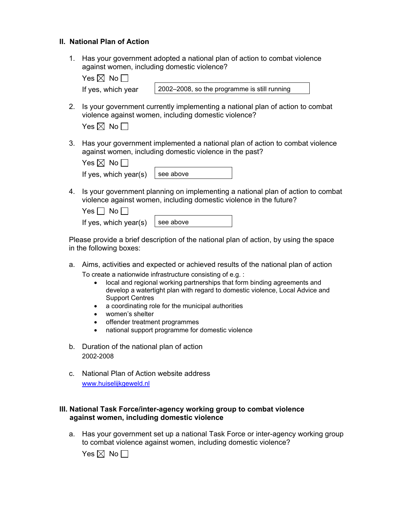### **II. National Plan of Action**

1. Has your government adopted a national plan of action to combat violence against women, including domestic violence?

| Yes $\boxtimes$ No $\Box$ |                                              |
|---------------------------|----------------------------------------------|
| If yes, which year        | 2002–2008, so the programme is still running |

2. Is your government currently implementing a national plan of action to combat violence against women, including domestic violence?

| es $\boxtimes$ | <b>No</b> |
|----------------|-----------|
|----------------|-----------|

3. Has your government implemented a national plan of action to combat violence against women, including domestic violence in the past?

| Yes $\boxtimes$ No $\Box$               |  |
|-----------------------------------------|--|
| If yes, which year(s) $\vert$ see above |  |

4. Is your government planning on implementing a national plan of action to combat violence against women, including domestic violence in the future?

| Yes $\Box$ No $\Box$                    |  |
|-----------------------------------------|--|
| If yes, which year(s) $\vert$ see above |  |

Please provide a brief description of the national plan of action, by using the space in the following boxes:

- a. Aims, activities and expected or achieved results of the national plan of action To create a nationwide infrastructure consisting of e.g. :
	- local and regional working partnerships that form binding agreements and develop a watertight plan with regard to domestic violence, Local Advice and Support Centres
	- a coordinating role for the municipal authorities
	- women's shelter
	- offender treatment programmes
	- national support programme for domestic violence
- b. Duration of the national plan of action 2002-2008
- c. National Plan of Action website address [www.huiselijkgeweld.nl](http://www.huiselijkgeweld.nl/)

#### **III. National Task Force/inter-agency working group to combat violence against women, including domestic violence**

a. Has your government set up a national Task Force or inter-agency working group to combat violence against women, including domestic violence?

Yes  $\boxtimes$  No  $\Box$